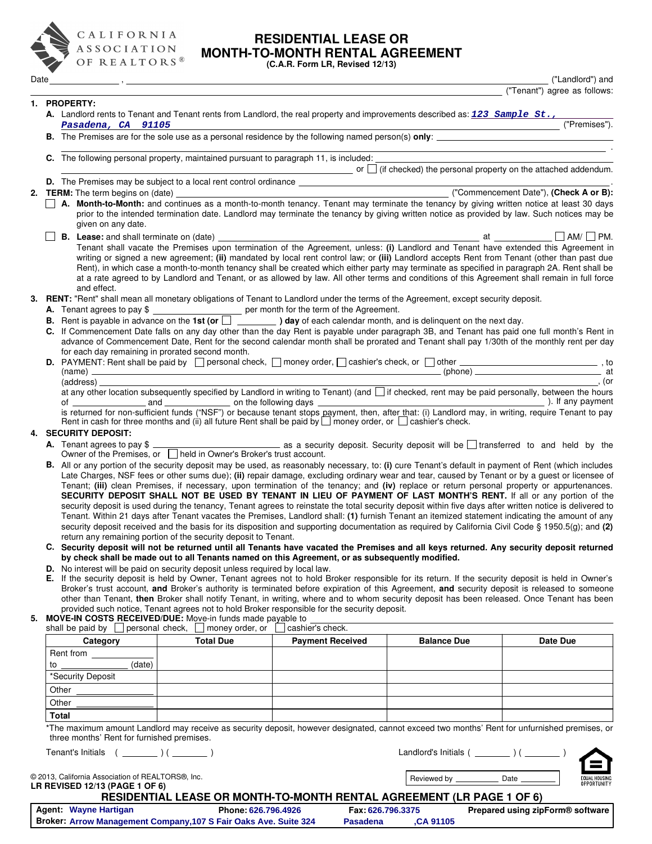

# **RESIDENTIAL LEASE OR MONTH-TO-MONTH RENTAL AGREEMENT**

**(C.A.R. Form LR, Revised 12/13)**

|    |    |                                                                                                                        |                                                                                                                                                                                                                                                                                            |                         |                                                                                                                       | ("Landlord") and             |  |  |  |
|----|----|------------------------------------------------------------------------------------------------------------------------|--------------------------------------------------------------------------------------------------------------------------------------------------------------------------------------------------------------------------------------------------------------------------------------------|-------------------------|-----------------------------------------------------------------------------------------------------------------------|------------------------------|--|--|--|
|    |    |                                                                                                                        |                                                                                                                                                                                                                                                                                            |                         |                                                                                                                       | ("Tenant") agree as follows: |  |  |  |
|    |    | 1. PROPERTY:                                                                                                           | A. Landlord rents to Tenant and Tenant rents from Landlord, the real property and improvements described as: 123 Sample St.,                                                                                                                                                               |                         |                                                                                                                       |                              |  |  |  |
|    |    | Pasadena, CA 91105                                                                                                     |                                                                                                                                                                                                                                                                                            |                         | <u> 1989 - Johann Barn, mars ann an t-Amhain Aonaich an t-Aonaich an t-Aonaich an t-Aonaich an t-Aonaich an t-Aon</u> | ("Premises").                |  |  |  |
|    |    |                                                                                                                        | B. The Premises are for the sole use as a personal residence by the following named person(s) only:                                                                                                                                                                                        |                         |                                                                                                                       |                              |  |  |  |
|    |    |                                                                                                                        |                                                                                                                                                                                                                                                                                            |                         |                                                                                                                       |                              |  |  |  |
|    |    |                                                                                                                        | C. The following personal property, maintained pursuant to paragraph 11, is included:                                                                                                                                                                                                      |                         |                                                                                                                       |                              |  |  |  |
|    |    |                                                                                                                        |                                                                                                                                                                                                                                                                                            |                         | $\Box$ (if checked) the personal property on the attached addendum.                                                   |                              |  |  |  |
|    |    |                                                                                                                        |                                                                                                                                                                                                                                                                                            |                         |                                                                                                                       |                              |  |  |  |
|    |    | 2. TERM: The term begins on (date) _                                                                                   |                                                                                                                                                                                                                                                                                            |                         | ("Commencement Date"), (Check A or B):                                                                                |                              |  |  |  |
|    |    |                                                                                                                        | A. Month-to-Month: and continues as a month-to-month tenancy. Tenant may terminate the tenancy by giving written notice at least 30 days                                                                                                                                                   |                         |                                                                                                                       |                              |  |  |  |
|    |    |                                                                                                                        | prior to the intended termination date. Landlord may terminate the tenancy by giving written notice as provided by law. Such notices may be                                                                                                                                                |                         |                                                                                                                       |                              |  |  |  |
|    |    | given on any date.                                                                                                     |                                                                                                                                                                                                                                                                                            |                         |                                                                                                                       |                              |  |  |  |
|    |    |                                                                                                                        | <b>B.</b> Lease: and shall terminate on (date) $\Box$ PM. Tenant shall vacate the Premises upon termination of the Agreement, unless: (i) Landlord and Tenant have extended this Agreement in                                                                                              |                         |                                                                                                                       |                              |  |  |  |
|    |    |                                                                                                                        | writing or signed a new agreement; (ii) mandated by local rent control law; or (iii) Landlord accepts Rent from Tenant (other than past due                                                                                                                                                |                         |                                                                                                                       |                              |  |  |  |
|    |    |                                                                                                                        | Rent), in which case a month-to-month tenancy shall be created which either party may terminate as specified in paragraph 2A. Rent shall be                                                                                                                                                |                         |                                                                                                                       |                              |  |  |  |
|    |    |                                                                                                                        | at a rate agreed to by Landlord and Tenant, or as allowed by law. All other terms and conditions of this Agreement shall remain in full force                                                                                                                                              |                         |                                                                                                                       |                              |  |  |  |
|    |    | and effect.                                                                                                            |                                                                                                                                                                                                                                                                                            |                         |                                                                                                                       |                              |  |  |  |
|    |    |                                                                                                                        | 3. RENT: "Rent" shall mean all monetary obligations of Tenant to Landlord under the terms of the Agreement, except security deposit.                                                                                                                                                       |                         |                                                                                                                       |                              |  |  |  |
|    |    |                                                                                                                        | A. Tenant agrees to pay \$ ________________________ per month for the term of the Agreement.                                                                                                                                                                                               |                         |                                                                                                                       |                              |  |  |  |
|    |    |                                                                                                                        |                                                                                                                                                                                                                                                                                            |                         |                                                                                                                       |                              |  |  |  |
|    |    |                                                                                                                        | C. If Commencement Date falls on any day other than the day Rent is payable under paragraph 3B, and Tenant has paid one full month's Rent in<br>advance of Commencement Date, Rent for the second calendar month shall be prorated and Tenant shall pay 1/30th of the monthly rent per day |                         |                                                                                                                       |                              |  |  |  |
|    |    | for each day remaining in prorated second month.                                                                       |                                                                                                                                                                                                                                                                                            |                         |                                                                                                                       |                              |  |  |  |
|    |    |                                                                                                                        | D. PAYMENT: Rent shall be paid by Dersonal check, D money order, D cashier's check, or D other ____________________________, to                                                                                                                                                            |                         |                                                                                                                       |                              |  |  |  |
|    |    |                                                                                                                        | $\frac{\text{(name)}}{\text{(address)}}$ (address)                                                                                                                                                                                                                                         |                         |                                                                                                                       |                              |  |  |  |
|    |    |                                                                                                                        |                                                                                                                                                                                                                                                                                            |                         |                                                                                                                       |                              |  |  |  |
|    |    |                                                                                                                        | at any other location subsequently specified by Landlord in writing to Tenant) (and $\Box$ if checked, rent may be paid personally, between the hours                                                                                                                                      |                         |                                                                                                                       |                              |  |  |  |
|    |    |                                                                                                                        |                                                                                                                                                                                                                                                                                            |                         |                                                                                                                       |                              |  |  |  |
|    |    | Rent in cash for three months and (ii) all future Rent shall be paid by $\Box$ money order, or $\Box$ cashier's check. |                                                                                                                                                                                                                                                                                            |                         |                                                                                                                       |                              |  |  |  |
| 4. |    | <b>SECURITY DEPOSIT:</b>                                                                                               |                                                                                                                                                                                                                                                                                            |                         |                                                                                                                       |                              |  |  |  |
|    |    |                                                                                                                        |                                                                                                                                                                                                                                                                                            |                         |                                                                                                                       |                              |  |  |  |
|    |    |                                                                                                                        | Owner of the Premises, or Ineld in Owner's Broker's trust account.                                                                                                                                                                                                                         |                         |                                                                                                                       |                              |  |  |  |
|    |    |                                                                                                                        | B. All or any portion of the security deposit may be used, as reasonably necessary, to: (i) cure Tenant's default in payment of Rent (which includes                                                                                                                                       |                         |                                                                                                                       |                              |  |  |  |
|    |    |                                                                                                                        | Late Charges, NSF fees or other sums due); (ii) repair damage, excluding ordinary wear and tear, caused by Tenant or by a guest or licensee of                                                                                                                                             |                         |                                                                                                                       |                              |  |  |  |
|    |    |                                                                                                                        | Tenant; (iii) clean Premises, if necessary, upon termination of the tenancy; and (iv) replace or return personal property or appurtenances.<br>SECURITY DEPOSIT SHALL NOT BE USED BY TENANT IN LIEU OF PAYMENT OF LAST MONTH'S RENT. If all or any portion of the                          |                         |                                                                                                                       |                              |  |  |  |
|    |    |                                                                                                                        | security deposit is used during the tenancy, Tenant agrees to reinstate the total security deposit within five days after written notice is delivered to                                                                                                                                   |                         |                                                                                                                       |                              |  |  |  |
|    |    |                                                                                                                        | Tenant. Within 21 days after Tenant vacates the Premises, Landlord shall: (1) furnish Tenant an itemized statement indicating the amount of any                                                                                                                                            |                         |                                                                                                                       |                              |  |  |  |
|    |    |                                                                                                                        | security deposit received and the basis for its disposition and supporting documentation as required by California Civil Code § 1950.5(g); and (2)                                                                                                                                         |                         |                                                                                                                       |                              |  |  |  |
|    |    |                                                                                                                        | return any remaining portion of the security deposit to Tenant.                                                                                                                                                                                                                            |                         |                                                                                                                       |                              |  |  |  |
|    |    |                                                                                                                        | Security deposit will not be returned until all Tenants have vacated the Premises and all keys returned. Any security deposit returned                                                                                                                                                     |                         |                                                                                                                       |                              |  |  |  |
|    |    |                                                                                                                        | by check shall be made out to all Tenants named on this Agreement, or as subsequently modified.                                                                                                                                                                                            |                         |                                                                                                                       |                              |  |  |  |
|    |    |                                                                                                                        | <b>D.</b> No interest will be paid on security deposit unless required by local law.<br>E. If the security deposit is held by Owner, Tenant agrees not to hold Broker responsible for its return. If the security deposit is held in Owner's                                               |                         |                                                                                                                       |                              |  |  |  |
|    |    |                                                                                                                        | Broker's trust account, and Broker's authority is terminated before expiration of this Agreement, and security deposit is released to someone                                                                                                                                              |                         |                                                                                                                       |                              |  |  |  |
|    |    |                                                                                                                        | other than Tenant, then Broker shall notify Tenant, in writing, where and to whom security deposit has been released. Once Tenant has been                                                                                                                                                 |                         |                                                                                                                       |                              |  |  |  |
|    |    |                                                                                                                        | provided such notice, Tenant agrees not to hold Broker responsible for the security deposit.                                                                                                                                                                                               |                         |                                                                                                                       |                              |  |  |  |
|    |    |                                                                                                                        | 5. MOVE-IN COSTS RECEIVED/DUE: Move-in funds made payable to                                                                                                                                                                                                                               |                         |                                                                                                                       |                              |  |  |  |
|    |    |                                                                                                                        | shall be paid by $\parallel$   personal check, $\parallel$   money order, or                                                                                                                                                                                                               | cashier's check.        |                                                                                                                       |                              |  |  |  |
|    |    | Category                                                                                                               | <b>Total Due</b>                                                                                                                                                                                                                                                                           | <b>Payment Received</b> | <b>Balance Due</b>                                                                                                    | Date Due                     |  |  |  |
|    |    | Rent from _____                                                                                                        |                                                                                                                                                                                                                                                                                            |                         |                                                                                                                       |                              |  |  |  |
|    | to | (date)                                                                                                                 |                                                                                                                                                                                                                                                                                            |                         |                                                                                                                       |                              |  |  |  |
|    |    | *Security Deposit                                                                                                      |                                                                                                                                                                                                                                                                                            |                         |                                                                                                                       |                              |  |  |  |
|    |    | Other                                                                                                                  |                                                                                                                                                                                                                                                                                            |                         |                                                                                                                       |                              |  |  |  |
|    |    | Other                                                                                                                  |                                                                                                                                                                                                                                                                                            |                         |                                                                                                                       |                              |  |  |  |
|    |    | Total                                                                                                                  |                                                                                                                                                                                                                                                                                            |                         |                                                                                                                       |                              |  |  |  |
|    |    |                                                                                                                        | *The maximum amount Landlord may receive as security deposit, however designated, cannot exceed two months' Rent for unfurnished premises, or                                                                                                                                              |                         |                                                                                                                       |                              |  |  |  |

\*The maximum amount Landlord may receive as security deposit, however designated, cannot exceed two months' Rent for unfurnished premises, or three months' Rent for furnished premises.

Tenant's Initials  $(\underline{\hspace{1cm}})$   $(\underline{\hspace{1cm}})$ 

 $Landord's$  Initials  $($   $\qquad \qquad )$   $($   $\qquad \qquad )$ 

Reviewed by \_\_\_\_\_\_\_\_\_\_\_\_\_\_\_\_ Date

EQUAL HOUSING

| © 2013, California Association of REALTORS®, Inc. |
|---------------------------------------------------|
| LR REVISED 12/13 (PAGE 1 OF 6)                    |
| <b>DECIDENTIAL LEACE OF</b>                       |

|                                                                  | RESIDENTIAL LEASE OR MONTH-TO-MONTH RENTAL AGREEMENT (LR PAGE 1 OF 6) |                   |                  |                                  |
|------------------------------------------------------------------|-----------------------------------------------------------------------|-------------------|------------------|----------------------------------|
| Agent: Wayne Hartigan                                            | Phone: 626.796.4926                                                   | Fax: 626,796,3375 |                  | Prepared using zipForm® software |
| Broker: Arrow Management Company, 107 S Fair Oaks Ave. Suite 324 |                                                                       | Pasadena          | <b>CA 91105.</b> |                                  |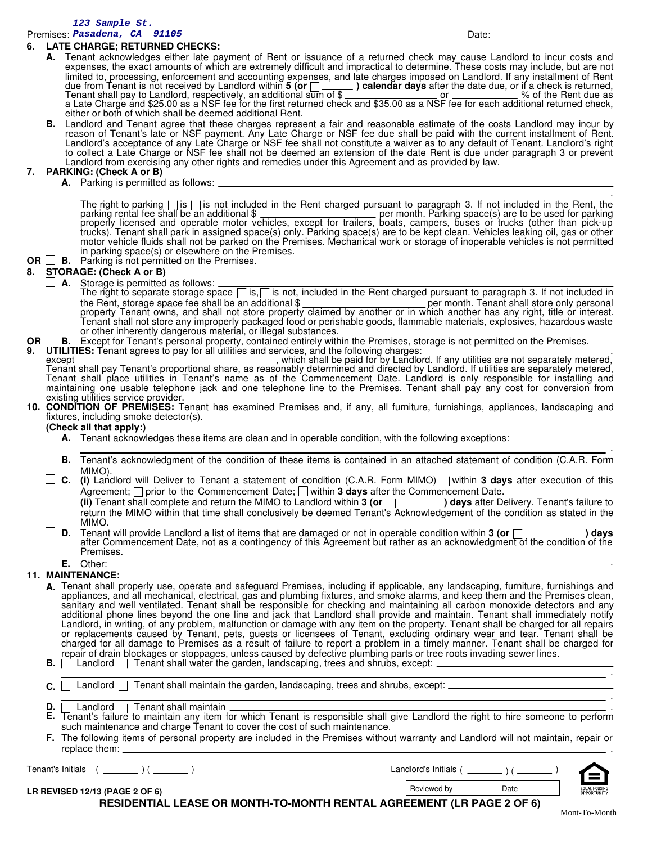Premises: Date: *Pasadena, CA 91105*

# **6. LATE CHARGE; RETURNED CHECKS:**

- **A.** Tenant acknowledges either late payment of Rent or issuance of a returned check may cause Landlord to incur costs and expenses, the exact amounts of which are extremely difficult and impractical to determine. These costs may include, but are not limited to, processing, enforcement and accounting expenses, and late charges imposed on Landlord. If any installment of Rent due from Tenant is not received by Landlord within 5 (or  $\Box$ \_\_\_\_\_\_ ) calendar days after the date due, or if a check is returned, Tenant shall pay to Landlord, respectively, an additional sum of \$ or % of the Rent due as a Late Charge and \$25.00 as a NSF fee for the first returned check and \$35.00 as a NSF fee for each additional returned check, either or both of which shall be deemed additional Rent.
- **B.** Landlord and Tenant agree that these charges represent a fair and reasonable estimate of the costs Landlord may incur by reason of Tenant's late or NSF payment. Any Late Charge or NSF fee due shall be paid with the current installment of Rent. Landlord's acceptance of any Late Charge or NSF fee shall not constitute a waiver as to any default of Tenant. Landlord's right to collect a Late Charge or NSF fee shall not be deemed an extension of the date Rent is due under paragraph 3 or prevent Landlord from exercising any other rights and remedies under this Agreement and as provided by law.

# **7. PARKING: (Check A or B)**

**A.** Parking is permitted as follows:

The right to parking  $\Box$  is  $\Box$  is not included in the Rent charged pursuant to paragraph 3. If not included in the Rent, the next included in the Rent, the next included in the Rent, the used for parking parking rental fee shall be an additional \$ **error month. Parking space(s)** are to be used for parking parking rental fee shall be an additional \$<br>properly licensed and operable motor vehicles, except for trailers, boats, campers, buses or trucks (other than pick-up trucks). Tenant shall park in assigned space(s) only. Parking space(s) are to be kept clean. Vehicles leaking oil, gas or other motor vehicle fluids shall not be parked on the Premises. Mechanical work or storage of inoperable vehicles is not permitted in parking space(s) or elsewhere on the Premises. .

**OR**  $\Box$  **B.** Parking is not permitted on the Premises.

# **8. STORAGE: (Check A or B)**

 $\Box$  **A.** Storage is permitted as follows:

The right to separate storage space  $\Box$  is,  $\Box$  is not, included in the Rent charged pursuant to paragraph 3. If not included in the Rent, storage space fee shall be an additional \$ \_\_\_\_\_\_\_\_\_\_\_\_\_\_\_\_\_\_\_\_\_\_\_\_\_\_\_ per month. Tenant shall store only personal property Tenant owns, and shall not store property claimed by another or in which another has any right, title or interest. Tenant shall not store any improperly packaged food or perishable goods, flammable materials, explosives, hazardous waste or other inherently dangerous material, or illegal substances.

**OR B.** Except for Tenant's personal property, contained entirely within the Premises, storage is not permitted on the Premises.<br>**9. UTILITIES:** Tenant agrees to pay for all utilities and services, and the following charge

**9. UTILITIES:** Tenant agrees to pay for all utilities and services, and the following charges: except **except** *except except except except except except except except except except except except except except except except except except except* Tenant shall pay Tenant's proportional share, as reasonably determined and directed by Landlord. If utilities are separately metered, Tenant shall place utilities in Tenant's name as of the Commencement Date. Landlord is only responsible for installing and maintaining one usable telephone jack and one telephone line to the Premises. Tenant shall pay any cost for conversion from existing utilities service provider. .

**10. CONDITION OF PREMISES:** Tenant has examined Premises and, if any, all furniture, furnishings, appliances, landscaping and fixtures, including smoke detector(s).

**(Check all that apply:)**

- **A.** Tenant acknowledges these items are clean and in operable condition, with the following exceptions:
- **B.** Tenant's acknowledgment of the condition of these items is contained in an attached statement of condition (C.A.R. Form MIMO).
- □ C. (i) Landlord will Deliver to Tenant a statement of condition (C.A.R. Form MIMO) □ within **3 days** after execution of this Agreement;  $\Box$  prior to the Commencement Date;  $\Box$  within **3 days** after the Commencement Date. **(ii)** Tenant shall complete and return the MIMO to Landlord within **3 (or ) days** after Delivery. Tenant's failure to return the MIMO within that time shall conclusively be deemed Tenant's Acknowledgement of the condition as stated in the
- **D.** Tenant will provide Landlord a list of items that are damaged or not in operable condition within **3 (or**  $\Box$ ) days after Commencement Date, not as a contingency of this Agreement but rather as an acknowledgment of the condition of the Premises. MIMO.

#### **E.** Other: **11. MAINTENANCE:**

. **A.** Tenant shall properly use, operate and safeguard Premises, including if applicable, any landscaping, furniture, furnishings and appliances, and all mechanical, electrical, gas and plumbing fixtures, and smoke alarms, and keep them and the Premises clean, sanitary and well ventilated. Tenant shall be responsible for checking and maintaining all carbon monoxide detectors and any additional phone lines beyond the one line and jack that Landlord shall provide and maintain. Tenant shall immediately notify Landlord, in writing, of any problem, malfunction or damage with any item on the property. Tenant shall be charged for all repairs or replacements caused by Tenant, pets, guests or licensees of Tenant, excluding ordinary wear and tear. Tenant shall be charged for all damage to Premises as a result of failure to report a problem in a timely manner. Tenant shall be charged for repair of drain blockages or stoppages, unless caused by defective plumbing parts or tree roots invading sewer lines. **B.**  $\Box$  Landlord  $\Box$  Tenant shall water the garden, landscaping, trees and shrubs, except:

| $\Box$ Landlord $\Box$ Tenant shall maintain the garden, landscaping, trees and shrubs, except: $\Box$<br>$\sim$ 1                                                                                                                                                                                                                 |                                                                                |
|------------------------------------------------------------------------------------------------------------------------------------------------------------------------------------------------------------------------------------------------------------------------------------------------------------------------------------|--------------------------------------------------------------------------------|
| such maintenance and charge Tenant to cover the cost of such maintenance.<br>F. The following items of personal property are included in the Premises without warranty and Landlord will not maintain, repair or<br>replace them: explanation of the state of the state of the state of the state of the state of the state of the |                                                                                |
| $T$ enant's Initials () ()                                                                                                                                                                                                                                                                                                         | Landlord's Initials $(\underline{\hspace{1cm}})$ ( $\underline{\hspace{1cm}})$ |
| <b>LR REVISED 12/13 (PAGE 2 OF 6)</b>                                                                                                                                                                                                                                                                                              | EQUAL HOUSING<br>OPPORTUNITY                                                   |

**RESIDENTIAL LEASE OR MONTH-TO-MONTH RENTAL AGREEMENT (LR PAGE 2 OF 6)**

.

.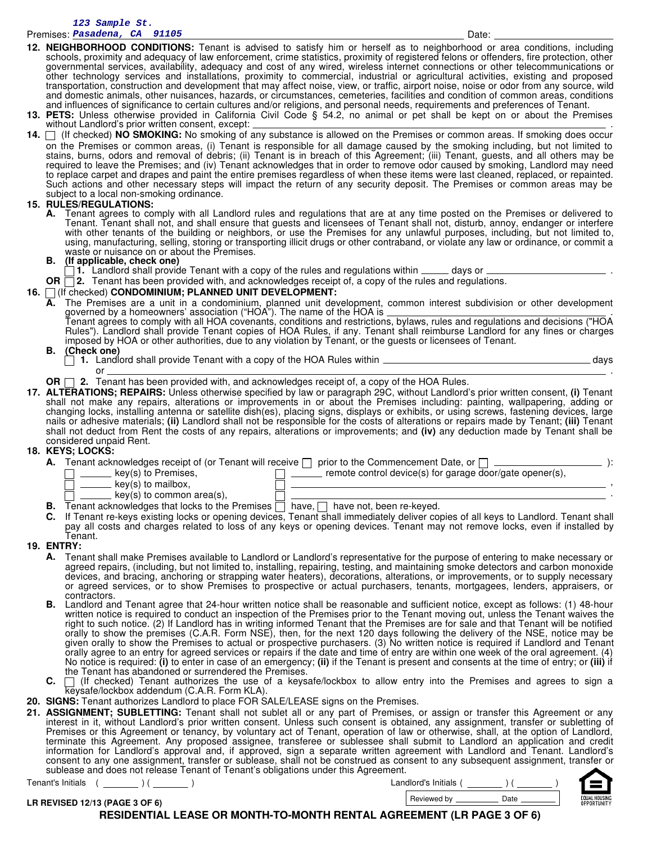### Premises: Date: *Pasadena, CA 91105*

**12. NEIGHBORHOOD CONDITIONS:** Tenant is advised to satisfy him or herself as to neighborhood or area conditions, including schools, proximity and adequacy of law enforcement, crime statistics, proximity of registered felons or offenders, fire protection, other governmental services, availability, adequacy and cost of any wired, wireless internet connections or other telecommunications or other technology services and installations, proximity to commercial, industrial or agricultural activities, existing and proposed transportation, construction and development that may affect noise, view, or traffic, airport noise, noise or odor from any source, wild and domestic animals, other nuisances, hazards, or circumstances, cemeteries, facilities and condition of common areas, conditions and influences of significance to certain cultures and/or religions, and personal needs, requirements and preferences of Tenant.

- **13. PETS:** Unless otherwise provided in California Civil Code § 54.2, no animal or pet shall be kept on or about the Premises without Landlord's prior written consent, except: .
- 14.  $\Box$  (If checked) NO SMOKING: No smoking of any substance is allowed on the Premises or common areas. If smoking does occur on the Premises or common areas, (i) Tenant is responsible for all damage caused by the smoking including, but not limited to stains, burns, odors and removal of debris; (ii) Tenant is in breach of this Agreement; (iii) Tenant, guests, and all others may be required to leave the Premises; and (iv) Tenant acknowledges that in order to remove odor caused by smoking, Landlord may need to replace carpet and drapes and paint the entire premises regardless of when these items were last cleaned, replaced, or repainted. Such actions and other necessary steps will impact the return of any security deposit. The Premises or common areas may be subject to a local non-smoking ordinance.

# **15. RULES/REGULATIONS:**

- **A.** Tenant agrees to comply with all Landlord rules and regulations that are at any time posted on the Premises or delivered to Tenant. Tenant shall not, and shall ensure that guests and licensees of Tenant shall not, disturb, annoy, endanger or interfere with other tenants of the building or neighbors, or use the Premises for any unlawful purposes, including, but not limited to, using, manufacturing, selling, storing or transporting illicit drugs or other contraband, or violate any law or ordinance, or commit a waste or nuisance on or about the Premises.
- **B. (If applicable, check one)**
- 1. Landlord shall provide Tenant with a copy of the rules and regulations within \_\_\_\_\_ days or .

**OR**  $\boxed{\phantom{a}}$  2. Tenant has been provided with, and acknowledges receipt of, a copy of the rules and regulations.

# **16.** (If checked) **CONDOMINIUM; PLANNED UNIT DEVELOPMENT:**

- **A.** The Premises are a unit in a condominium, planned unit development, common interest subdivision or other development governed by a homeowners' association ("HOA"). The name of the HOA is .
	- Tenant agrees to comply with all HOA covenants, conditions and restrictions, bylaws, rules and regulations and decisions ("HOA Rules"). Landlord shall provide Tenant copies of HOA Rules, if any. Tenant shall reimburse Landlord for any fines or charges imposed by HOA or other authorities, due to any violation by Tenant, or the guests or licensees of Tenant.
- **B. (Check one)**
	- **1.** The state of the Manuson of the HOA Rules within **and the Second Control of the Second Control** caps and the Manuson of the HOA Rules within **and the Second Control capacity** days . or
- **OR 2.** Tenant has been provided with, and acknowledges receipt of, a copy of the HOA Rules.
- **17. ALTERATIONS; REPAIRS:** Unless otherwise specified by law or paragraph 29C, without Landlord's prior written consent, **(i)** Tenant shall not make any repairs, alterations or improvements in or about the Premises including: painting, wallpapering, adding or changing locks, installing antenna or satellite dish(es), placing signs, displays or exhibits, or using screws, fastening devices, large nails or adhesive materials; **(ii)** Landlord shall not be responsible for the costs of alterations or repairs made by Tenant; **(iii)** Tenant shall not deduct from Rent the costs of any repairs, alterations or improvements; and **(iv)** any deduction made by Tenant shall be considered unpaid Rent.

# **18. KEYS; LOCKS:**

**A.** Tenant acknowledges receipt of (or Tenant will receive prior to the Commencement Date, or  $\Box$  \_\_\_\_\_\_\_<br>E =  $\Box$  key(s) to Premises,  $\Box$  \_\_\_\_\_\_ remote control device(s) for garage door/gate operation

 $\Box$  remote control device(s) for garage door/gate opener(s),

- key(s) to mailbox, ,
	- key(s) to common area(s), .
		-
- **B.** Tenant acknowledges that locks to the Premises  $\Box$  have,  $\Box$  have not, been re-keyed.
- **C.** If Tenant re-keys existing locks or opening devices, Tenant shall immediately deliver copies of all keys to Landlord. Tenant shall pay all costs and charges related to loss of any keys or opening devices. Tenant may not remove locks, even if installed by Tenant.

#### **19. ENTRY:**

- **A.** Tenant shall make Premises available to Landlord or Landlord's representative for the purpose of entering to make necessary or agreed repairs, (including, but not limited to, installing, repairing, testing, and maintaining smoke detectors and carbon monoxide devices, and bracing, anchoring or strapping water heaters), decorations, alterations, or improvements, or to supply necessary or agreed services, or to show Premises to prospective or actual purchasers, tenants, mortgagees, lenders, appraisers, or contractors.
- **B.** Landlord and Tenant agree that 24-hour written notice shall be reasonable and sufficient notice, except as follows: (1) 48-hour written notice is required to conduct an inspection of the Premises prior to the Tenant moving out, unless the Tenant waives the right to such notice. (2) If Landlord has in writing informed Tenant that the Premises are for sale and that Tenant will be notified orally to show the premises (C.A.R. Form NSE), then, for the next 120 days following the delivery of the NSE, notice may be given orally to show the Premises to actual or prospective purchasers. (3) No written notice is required if Landlord and Tenant orally agree to an entry for agreed services or repairs if the date and time of entry are within one week of the oral agreement. (4) No notice is required: **(i)** to enter in case of an emergency; **(ii)** if the Tenant is present and consents at the time of entry; or **(iii)** if the Tenant has abandoned or surrendered the Premises.
- **C.** (If checked) Tenant authorizes the use of a keysafe/lockbox to allow entry into the Premises and agrees to sign a keysafe/lockbox addendum (C.A.R. Form KLA).
- **20. SIGNS:** Tenant authorizes Landlord to place FOR SALE/LEASE signs on the Premises.
- **21. ASSIGNMENT; SUBLETTING:** Tenant shall not sublet all or any part of Premises, or assign or transfer this Agreement or any interest in it, without Landlord's prior written consent. Unless such consent is obtained, any assignment, transfer or subletting of Premises or this Agreement or tenancy, by voluntary act of Tenant, operation of law or otherwise, shall, at the option of Landlord, terminate this Agreement. Any proposed assignee, transferee or sublessee shall submit to Landlord an application and credit information for Landlord's approval and, if approved, sign a separate written agreement with Landlord and Tenant. Landlord's consent to any one assignment, transfer or sublease, shall not be construed as consent to any subsequent assignment, transfer or sublease and does not release Tenant of Tenant's obligations under this Agreement.

Tenant's Initials ( ) ( ) Landlord's Initials ( ) ( ) Reviewed by Date **LR REVISED 12/13 (PAGE 3 OF 6)**





**RESIDENTIAL LEASE OR MONTH-TO-MONTH RENTAL AGREEMENT (LR PAGE 3 OF 6)**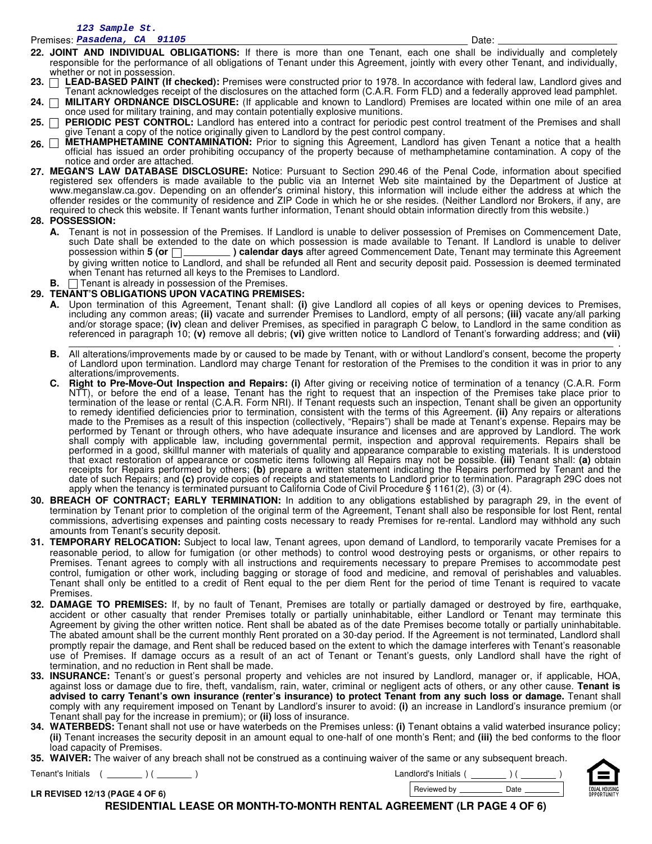- **22. JOINT AND INDIVIDUAL OBLIGATIONS:** If there is more than one Tenant, each one shall be individually and completely responsible for the performance of all obligations of Tenant under this Agreement, jointly with every other Tenant, and individually, whether or not in possession.
- **23.** □ LEAD-BASED PAINT (If checked): Premises were constructed prior to 1978. In accordance with federal law, Landlord gives and Tenant acknowledges receipt of the disclosures on the attached form (C.A.R. Form FLD) and a federally approved lead pamphlet.
- **24. MILITARY ORDNANCE DISCLOSURE:** (If applicable and known to Landlord) Premises are located within one mile of an area once used for military training, and may contain potentially explosive munitions.
- 25. **PERIODIC PEST CONTROL:** Landlord has entered into a contract for periodic pest control treatment of the Premises and shall give Tenant a copy of the notice originally given to Landlord by the pest control company.
- **26.** □ METHAMPHETAMINE CONTAMINATION: Prior to signing this Agreement, Landlord has given Tenant a notice that a health official has issued an order prohibiting occupancy of the property because of methamphetamine contamination. A copy of the notice and order are attached.
- **MEGAN'S LAW DATABASE DISCLOSURE:** Notice: Pursuant to Section 290.46 of the Penal Code, information about specified **27.** registered sex offenders is made available to the public via an Internet Web site maintained by the Department of Justice at www.meganslaw.ca.gov. Depending on an offender's criminal history, this information will include either the address at which the offender resides or the community of residence and ZIP Code in which he or she resides. (Neither Landlord nor Brokers, if any, are required to check this website. If Tenant wants further information, Tenant should obtain information directly from this website.)

#### **28. POSSESSION:**

Tenant is not in possession of the Premises. If Landlord is unable to deliver possession of Premises on Commencement Date, **A.** such Date shall be extended to the date on which possession is made available to Tenant. If Landlord is unable to deliver **) calendar days** after agreed Commencement Date, Tenant may terminate this Agreement possession within **5 (or** by giving written notice to Landlord, and shall be refunded all Rent and security deposit paid. Possession is deemed terminated when Tenant has returned all keys to the Premises to Landlord.

**B.** Tenant is already in possession of the Premises.

# **29. TENANT'S OBLIGATIONS UPON VACATING PREMISES:**

- **A.** Upon termination of this Agreement, Tenant shall: **(i)** give Landlord all copies of all keys or opening devices to Premises, including any common areas; **(ii)** vacate and surrender Premises to Landlord, empty of all persons; **(iii)** vacate any/all parking and/or storage space; **(iv)** clean and deliver Premises, as specified in paragraph C below, to Landlord in the same condition as referenced in paragraph 10; **(v)** remove all debris; **(vi)** give written notice to Landlord of Tenant's forwarding address; and **(vii)** .
- of Landlord upon termination. Landlord may charge Tenant for restoration of the Premises to the condition it was in prior to any **B.** All alterations/improvements made by or caused to be made by Tenant, with or without Landlord's consent, become the property alterations/improvements.
- **C. Right to Pre-Move-Out Inspection and Repairs: (i)** After giving or receiving notice of termination of a tenancy (C.A.R. Form NTT), or before the end of a lease, Tenant has the right to request that an inspection of the Premises take place prior to termination of the lease or rental (C.A.R. Form NRI). If Tenant requests such an inspection, Tenant shall be given an opportunity to remedy identified deficiencies prior to termination, consistent with the terms of this Agreement. **(ii)** Any repairs or alterations made to the Premises as a result of this inspection (collectively, "Repairs") shall be made at Tenant's expense. Repairs may be performed by Tenant or through others, who have adequate insurance and licenses and are approved by Landlord. The work shall comply with applicable law, including governmental permit, inspection and approval requirements. Repairs shall be performed in a good, skillful manner with materials of quality and appearance comparable to existing materials. It is understood that exact restoration of appearance or cosmetic items following all Repairs may not be possible. **(iii)** Tenant shall: **(a)** obtain receipts for Repairs performed by others; **(b)** prepare a written statement indicating the Repairs performed by Tenant and the date of such Repairs; and **(c)** provide copies of receipts and statements to Landlord prior to termination. Paragraph 29C does not apply when the tenancy is terminated pursuant to California Code of Civil Procedure § 1161(2), (3) or (4).
- **30. BREACH OF CONTRACT; EARLY TERMINATION:** In addition to any obligations established by paragraph 29, in the event of termination by Tenant prior to completion of the original term of the Agreement, Tenant shall also be responsible for lost Rent, rental commissions, advertising expenses and painting costs necessary to ready Premises for re-rental. Landlord may withhold any such amounts from Tenant's security deposit.
- **31. TEMPORARY RELOCATION:** Subject to local law, Tenant agrees, upon demand of Landlord, to temporarily vacate Premises for a reasonable period, to allow for fumigation (or other methods) to control wood destroying pests or organisms, or other repairs to Premises. Tenant agrees to comply with all instructions and requirements necessary to prepare Premises to accommodate pest control, fumigation or other work, including bagging or storage of food and medicine, and removal of perishables and valuables. Tenant shall only be entitled to a credit of Rent equal to the per diem Rent for the period of time Tenant is required to vacate Premises.
- **32. DAMAGE TO PREMISES:** If, by no fault of Tenant, Premises are totally or partially damaged or destroyed by fire, earthquake, accident or other casualty that render Premises totally or partially uninhabitable, either Landlord or Tenant may terminate this Agreement by giving the other written notice. Rent shall be abated as of the date Premises become totally or partially uninhabitable. The abated amount shall be the current monthly Rent prorated on a 30-day period. If the Agreement is not terminated, Landlord shall promptly repair the damage, and Rent shall be reduced based on the extent to which the damage interferes with Tenant's reasonable use of Premises. If damage occurs as a result of an act of Tenant or Tenant's guests, only Landlord shall have the right of termination, and no reduction in Rent shall be made.
- **33. INSURANCE:** Tenant's or guest's personal property and vehicles are not insured by Landlord, manager or, if applicable, HOA, against loss or damage due to fire, theft, vandalism, rain, water, criminal or negligent acts of others, or any other cause. **Tenant is advised to carry Tenant's own insurance (renter's insurance) to protect Tenant from any such loss or damage.** Tenant shall comply with any requirement imposed on Tenant by Landlord's insurer to avoid: **(i)** an increase in Landlord's insurance premium (or Tenant shall pay for the increase in premium); or **(ii)** loss of insurance.
- **34. WATERBEDS:** Tenant shall not use or have waterbeds on the Premises unless: **(i)** Tenant obtains a valid waterbed insurance policy; **(ii)** Tenant increases the security deposit in an amount equal to one-half of one month's Rent; and **(iii)** the bed conforms to the floor load capacity of Premises.

**35. WAIVER:** The waiver of any breach shall not be construed as a continuing waiver of the same or any subsequent breach.

Tenant's Initials ( ) ( )

Landlord's Initials ( <u>\_\_\_\_\_\_\_</u> ) ( \_\_\_\_\_\_ )



**LR REVISED 12/13 (PAGE 4 OF 6)** Date **LR REVISED 12/13 (PAGE 4 OF 6)** 

**RESIDENTIAL LEASE OR MONTH-TO-MONTH RENTAL AGREEMENT (LR PAGE 4 OF 6)**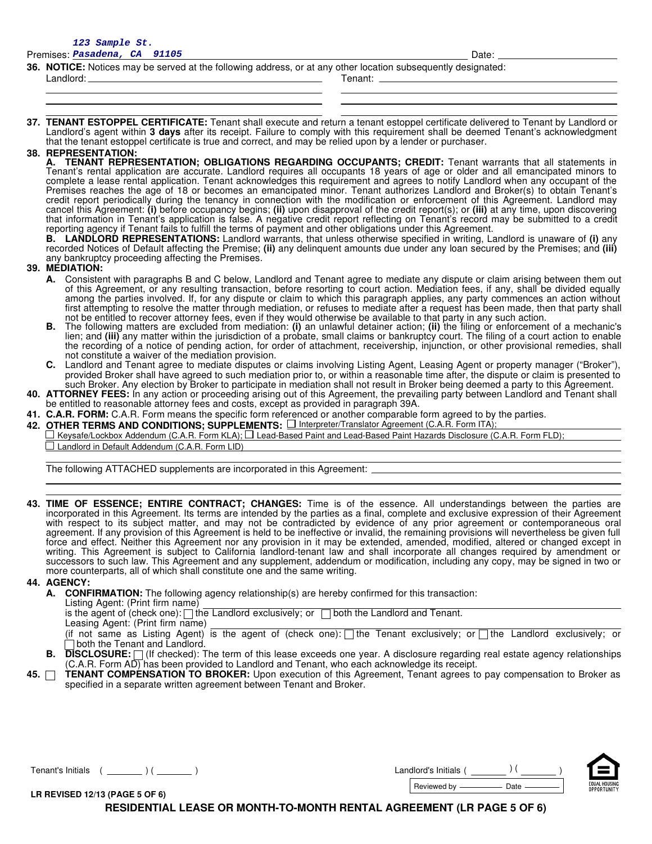Premises: Date: *Pasadena, CA 91105*

| 36. NOTICE: Notices may be served at the following address, or at any other location subsequently designated: |  |         |  |
|---------------------------------------------------------------------------------------------------------------|--|---------|--|
| Landlord:                                                                                                     |  | Геnant: |  |

**37. TENANT ESTOPPEL CERTIFICATE:** Tenant shall execute and return a tenant estoppel certificate delivered to Tenant by Landlord or Landlord's agent within **3 days** after its receipt. Failure to comply with this requirement shall be deemed Tenant's acknowledgment that the tenant estoppel certificate is true and correct, and may be relied upon by a lender or purchaser.

# **38. REPRESENTATION:**

Tenant's rental application are accurate. Landlord requires all occupants 18 years of age or older and all emancipated minors to complete a lease rental application. Tenant acknowledges this requirement and agrees to notify Landlord when any occupant of the Premises reaches the age of 18 or becomes an emancipated minor. Tenant authorizes Landlord and Broker(s) to obtain Tenant's credit report periodically during the tenancy in connection with the modification or enforcement of this Agreement. Landlord may cancel this Agreement: **(i)** before occupancy begins; **(ii)** upon disapproval of the credit report(s); or **(iii)** at any time, upon discovering that information in Tenant's application is false. A negative credit report reflecting on Tenant's record may be submitted to a credit reporting agency if Tenant fails to fulfill the terms of payment and other obligations under this Agreement. **A. TENANT REPRESENTATION; OBLIGATIONS REGARDING OCCUPANTS; CREDIT:** Tenant warrants that all statements in

**B. LANDLORD REPRESENTATIONS:** Landlord warrants, that unless otherwise specified in writing, Landlord is unaware of **(i)** any recorded Notices of Default affecting the Premise; **(ii)** any delinquent amounts due under any loan secured by the Premises; and **(iii)** any bankruptcy proceeding affecting the Premises.

### **39. MEDIATION:**

- **A.** Consistent with paragraphs B and C below, Landlord and Tenant agree to mediate any dispute or claim arising between them out of this Agreement, or any resulting transaction, before resorting to court action. Mediation fees, if any, shall be divided equally among the parties involved. If, for any dispute or claim to which this paragraph applies, any party commences an action without first attempting to resolve the matter through mediation, or refuses to mediate after a request has been made, then that party shall not be entitled to recover attorney fees, even if they would otherwise be available to that party in any such action.
- **B.** The following matters are excluded from mediation: **(i)** an unlawful detainer action; **(ii)** the filing or enforcement of a mechanic's lien; and **(iii)** any matter within the jurisdiction of a probate, small claims or bankruptcy court. The filing of a court action to enable the recording of a notice of pending action, for order of attachment, receivership, injunction, or other provisional remedies, shall not constitute a waiver of the mediation provision.
- **C.** Landlord and Tenant agree to mediate disputes or claims involving Listing Agent, Leasing Agent or property manager ("Broker"), provided Broker shall have agreed to such mediation prior to, or within a reasonable time after, the dispute or claim is presented to such Broker. Any election by Broker to participate in mediation shall not result in Broker being deemed a party to this Agreement.
- **40. ATTORNEY FEES:** In any action or proceeding arising out of this Agreement, the prevailing party between Landlord and Tenant shall be entitled to reasonable attorney fees and costs, except as provided in paragraph 39A.
- **41. C.A.R. FORM:** C.A.R. Form means the specific form referenced or another comparable form agreed to by the parties.
- **42. OTHER TERMS AND CONDITIONS; SUPPLEMENTS:** Interpreter/Translator Agreement (C.A.R. Form ITA); Keysafe/Lockbox Addendum (C.A.R. Form KLA);  $\Box$  Lead-Based Paint and Lead-Based Paint Hazards Disclosure (C.A.R. Form FLD);

 $\Box$  Landlord in Default Addendum (C.A.R. Form LID)

The following ATTACHED supplements are incorporated in this Agreement:

**43. TIME OF ESSENCE; ENTIRE CONTRACT; CHANGES:** Time is of the essence. All understandings between the parties are incorporated in this Agreement. Its terms are intended by the parties as a final, complete and exclusive expression of their Agreement with respect to its subject matter, and may not be contradicted by evidence of any prior agreement or contemporaneous oral agreement. If any provision of this Agreement is held to be ineffective or invalid, the remaining provisions will nevertheless be given full force and effect. Neither this Agreement nor any provision in it may be extended, amended, modified, altered or changed except in writing. This Agreement is subject to California landlord-tenant law and shall incorporate all changes required by amendment or successors to such law. This Agreement and any supplement, addendum or modification, including any copy, may be signed in two or more counterparts, all of which shall constitute one and the same writing.

#### **44. AGENCY:**

**A. CONFIRMATION:** The following agency relationship(s) are hereby confirmed for this transaction:

Listing Agent: (Print firm name) \_

is the agent of (check one):  $\Box$  the Landlord exclusively; or  $\Box$  both the Landlord and Tenant.

Leasing Agent: (Print firm name)

(if not same as Listing Agent) is the agent of (check one):  $\Box$  the Tenant exclusively; or  $\Box$  the Landlord exclusively; or both the Tenant and Landlord.

- **B. DISCLOSURE:** (If checked): The term of this lease exceeds one year. A disclosure regarding real estate agency relationships (C.A.R. Form AD) has been provided to Landlord and Tenant, who each acknowledge its receipt.
- **45. TENANT COMPENSATION TO BROKER:** Upon execution of this Agreement, Tenant agrees to pay compensation to Broker as specified in a separate written agreement between Tenant and Broker.

Tenant's Initials ( ) ( )

Landlord's Initials ( $\rule{1em}{0.15mm}$ ) ( Reviewed by Date



**LR REVISED 12/13 (PAGE 5 OF 6)**

**RESIDENTIAL LEASE OR MONTH-TO-MONTH RENTAL AGREEMENT (LR PAGE 5 OF 6)**